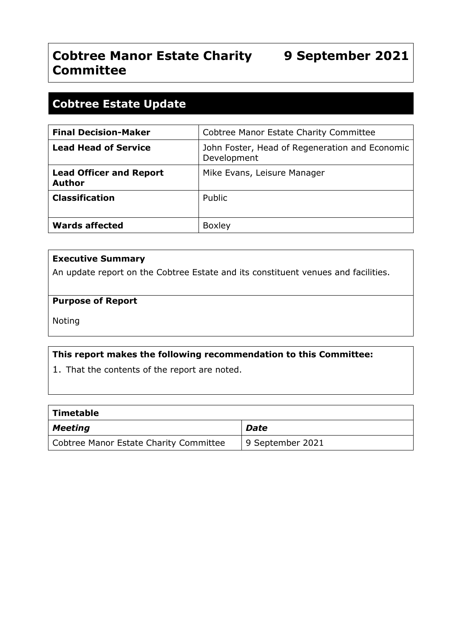# **Cobtree Manor Estate Charity 9 September 2021 Committee**

## **Cobtree Estate Update**

| <b>Final Decision-Maker</b>                     | <b>Cobtree Manor Estate Charity Committee</b>                 |
|-------------------------------------------------|---------------------------------------------------------------|
| <b>Lead Head of Service</b>                     | John Foster, Head of Regeneration and Economic<br>Development |
| <b>Lead Officer and Report</b><br><b>Author</b> | Mike Evans, Leisure Manager                                   |
| <b>Classification</b>                           | Public                                                        |
| <b>Wards affected</b>                           | <b>Boxley</b>                                                 |

#### **Executive Summary**

An update report on the Cobtree Estate and its constituent venues and facilities.

#### **Purpose of Report**

Noting

#### **This report makes the following recommendation to this Committee:**

1. That the contents of the report are noted.

| Timetable                              |                  |
|----------------------------------------|------------------|
| <b>Meeting</b>                         | <b>Date</b>      |
| Cobtree Manor Estate Charity Committee | 9 September 2021 |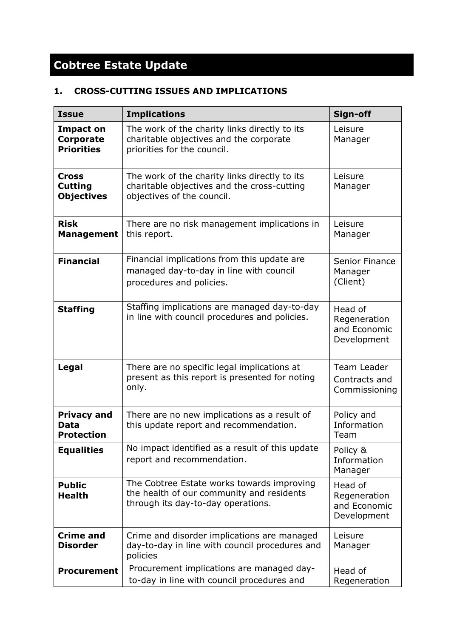# **Cobtree Estate Update**

### **1. CROSS-CUTTING ISSUES AND IMPLICATIONS**

| <b>Issue</b>                                              | <b>Implications</b>                                                                                                           | Sign-off                                               |
|-----------------------------------------------------------|-------------------------------------------------------------------------------------------------------------------------------|--------------------------------------------------------|
| <b>Impact on</b><br><b>Corporate</b><br><b>Priorities</b> | The work of the charity links directly to its<br>charitable objectives and the corporate<br>priorities for the council.       | Leisure<br>Manager                                     |
| Cross<br><b>Cutting</b><br><b>Objectives</b>              | The work of the charity links directly to its<br>charitable objectives and the cross-cutting<br>objectives of the council.    | Leisure<br>Manager                                     |
| <b>Risk</b><br><b>Management</b>                          | There are no risk management implications in<br>this report.                                                                  | Leisure<br>Manager                                     |
| <b>Financial</b>                                          | Financial implications from this update are<br>managed day-to-day in line with council<br>procedures and policies.            | Senior Finance<br>Manager<br>(Client)                  |
| <b>Staffing</b>                                           | Staffing implications are managed day-to-day<br>in line with council procedures and policies.                                 | Head of<br>Regeneration<br>and Economic<br>Development |
| Legal                                                     | There are no specific legal implications at<br>present as this report is presented for noting<br>only.                        | Team Leader<br>Contracts and<br>Commissioning          |
| <b>Privacy and</b><br><b>Data</b><br><b>Protection</b>    | There are no new implications as a result of<br>this update report and recommendation.                                        | Policy and<br>Information<br>Team                      |
| <b>Equalities</b>                                         | No impact identified as a result of this update<br>report and recommendation.                                                 | Policy &<br>Information<br>Manager                     |
| <b>Public</b><br><b>Health</b>                            | The Cobtree Estate works towards improving<br>the health of our community and residents<br>through its day-to-day operations. | Head of<br>Regeneration<br>and Economic<br>Development |
| <b>Crime and</b><br><b>Disorder</b>                       | Crime and disorder implications are managed<br>day-to-day in line with council procedures and<br>policies                     | Leisure<br>Manager                                     |
| <b>Procurement</b>                                        | Procurement implications are managed day-<br>to-day in line with council procedures and                                       | Head of<br>Regeneration                                |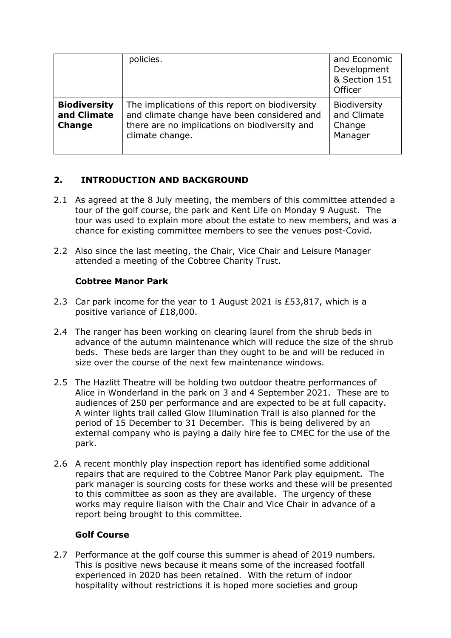|                                                     | policies.                                                                                                                                                          | and Economic<br>Development<br>& Section 151<br>Officer |
|-----------------------------------------------------|--------------------------------------------------------------------------------------------------------------------------------------------------------------------|---------------------------------------------------------|
| <b>Biodiversity</b><br>and Climate<br><b>Change</b> | The implications of this report on biodiversity<br>and climate change have been considered and<br>there are no implications on biodiversity and<br>climate change. | Biodiversity<br>and Climate<br>Change<br>Manager        |

#### **2. INTRODUCTION AND BACKGROUND**

- 2.1 As agreed at the 8 July meeting, the members of this committee attended a tour of the golf course, the park and Kent Life on Monday 9 August. The tour was used to explain more about the estate to new members, and was a chance for existing committee members to see the venues post-Covid.
- 2.2 Also since the last meeting, the Chair, Vice Chair and Leisure Manager attended a meeting of the Cobtree Charity Trust.

#### **Cobtree Manor Park**

- 2.3 Car park income for the year to 1 August 2021 is £53,817, which is a positive variance of £18,000.
- 2.4 The ranger has been working on clearing laurel from the shrub beds in advance of the autumn maintenance which will reduce the size of the shrub beds. These beds are larger than they ought to be and will be reduced in size over the course of the next few maintenance windows.
- 2.5 The Hazlitt Theatre will be holding two outdoor theatre performances of Alice in Wonderland in the park on 3 and 4 September 2021. These are to audiences of 250 per performance and are expected to be at full capacity. A winter lights trail called Glow Illumination Trail is also planned for the period of 15 December to 31 December. This is being delivered by an external company who is paying a daily hire fee to CMEC for the use of the park.
- 2.6 A recent monthly play inspection report has identified some additional repairs that are required to the Cobtree Manor Park play equipment. The park manager is sourcing costs for these works and these will be presented to this committee as soon as they are available. The urgency of these works may require liaison with the Chair and Vice Chair in advance of a report being brought to this committee.

#### **Golf Course**

2.7 Performance at the golf course this summer is ahead of 2019 numbers. This is positive news because it means some of the increased footfall experienced in 2020 has been retained. With the return of indoor hospitality without restrictions it is hoped more societies and group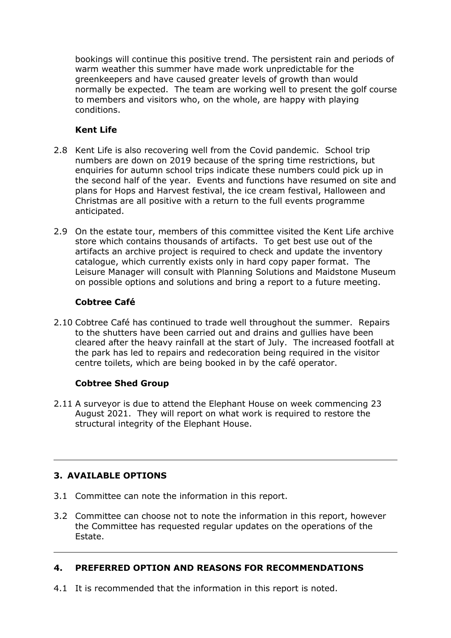bookings will continue this positive trend. The persistent rain and periods of warm weather this summer have made work unpredictable for the greenkeepers and have caused greater levels of growth than would normally be expected. The team are working well to present the golf course to members and visitors who, on the whole, are happy with playing conditions.

#### **Kent Life**

- 2.8 Kent Life is also recovering well from the Covid pandemic. School trip numbers are down on 2019 because of the spring time restrictions, but enquiries for autumn school trips indicate these numbers could pick up in the second half of the year. Events and functions have resumed on site and plans for Hops and Harvest festival, the ice cream festival, Halloween and Christmas are all positive with a return to the full events programme anticipated.
- 2.9 On the estate tour, members of this committee visited the Kent Life archive store which contains thousands of artifacts. To get best use out of the artifacts an archive project is required to check and update the inventory catalogue, which currently exists only in hard copy paper format. The Leisure Manager will consult with Planning Solutions and Maidstone Museum on possible options and solutions and bring a report to a future meeting.

#### **Cobtree Café**

2.10 Cobtree Café has continued to trade well throughout the summer. Repairs to the shutters have been carried out and drains and gullies have been cleared after the heavy rainfall at the start of July. The increased footfall at the park has led to repairs and redecoration being required in the visitor centre toilets, which are being booked in by the café operator.

#### **Cobtree Shed Group**

2.11 A surveyor is due to attend the Elephant House on week commencing 23 August 2021. They will report on what work is required to restore the structural integrity of the Elephant House.

#### **3. AVAILABLE OPTIONS**

- 3.1 Committee can note the information in this report.
- 3.2 Committee can choose not to note the information in this report, however the Committee has requested regular updates on the operations of the Estate.

#### **4. PREFERRED OPTION AND REASONS FOR RECOMMENDATIONS**

4.1 It is recommended that the information in this report is noted.